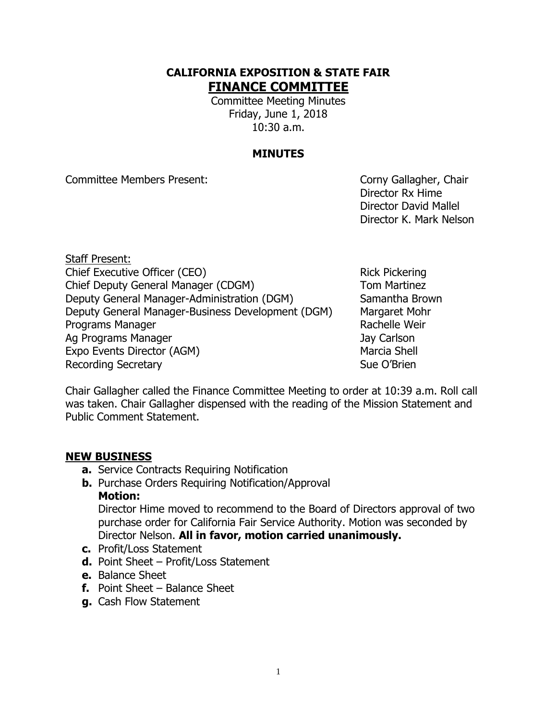#### **CALIFORNIA EXPOSITION & STATE FAIR FINANCE COMMITTEE**

Committee Meeting Minutes Friday, June 1, 2018 10:30 a.m.

#### **MINUTES**

Committee Members Present: Committee Members Present:

Director Rx Hime Director David Mallel Director K. Mark Nelson

Staff Present: Chief Executive Officer (CEO) Rick Pickering Chief Deputy General Manager (CDGM) Tom Martinez Deputy General Manager-Administration (DGM) Samantha Brown Deputy General Manager-Business Development (DGM) Margaret Mohr Programs Manager **Rachelle Weir** Rachelle Weir Ag Programs Manager Jay Carlson Expo Events Director (AGM) Marcia Shell Recording Secretary **Sue O'Brien** Sue O'Brien

Chair Gallagher called the Finance Committee Meeting to order at 10:39 a.m. Roll call was taken. Chair Gallagher dispensed with the reading of the Mission Statement and Public Comment Statement.

#### **NEW BUSINESS**

- **a.** Service Contracts Requiring Notification
- **b.** Purchase Orders Requiring Notification/Approval **Motion:**

Director Hime moved to recommend to the Board of Directors approval of two purchase order for California Fair Service Authority. Motion was seconded by Director Nelson. **All in favor, motion carried unanimously.**

- **c.** Profit/Loss Statement
- **d.** Point Sheet Profit/Loss Statement
- **e.** Balance Sheet
- **f.** Point Sheet Balance Sheet
- **g.** Cash Flow Statement